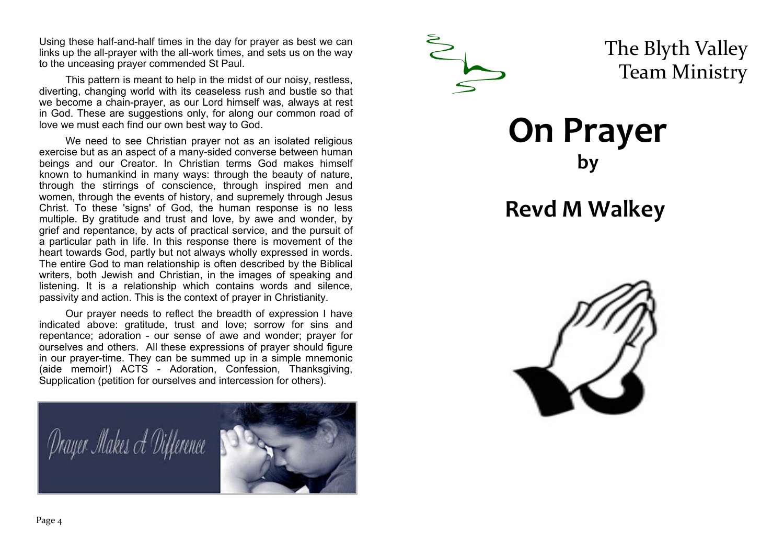Using these half-and-half times in the day for prayer as best we can links up the all-prayer with the all-work times, and sets us on the way to the unceasing prayer commended St Paul.

This pattern is meant to help in the midst of our noisy, restless, diverting, changing world with its ceaseless rush and bustle so that we become a chain-prayer, as our Lord himself was, always at rest in God. These are suggestions only, for along our common road of love we must each find our own best way to God.

We need to see Christian prayer not as an isolated religious exercise but as an aspect of a many-sided converse between human beings and our Creator. In Christian terms God makes himself known to humankind in many ways: through the beauty of nature, through the stirrings of conscience, through inspired men and women, through the events of history, and supremely through Jesus Christ. To these 'signs' of God, the human response is no less multiple. By gratitude and trust and love, by awe and wonder, by grief and repentance, by acts of practical service, and the pursuit of a particular path in life. In this response there is movement of the heart towards God, partly but not always wholly expressed in words. The entire God to man relationship is often described by the Biblical writers, both Jewish and Christian, in the images of speaking and listening. It is a relationship which contains words and silence, passivity and action. This is the context of prayer in Christianity.

Our prayer needs to reflect the breadth of expression I have indicated above: gratitude, trust and love; sorrow for sins and repentance; adoration - our sense of awe and wonder; prayer for ourselves and others. All these expressions of prayer should figure in our prayer-time. They can be summed up in a simple mnemonic (aide memoir!) ACTS - Adoration, Confession, Thanksgiving, Supplication (petition for ourselves and intercession for others).





The Blyth Valley Team Ministry

**On Prayer by** 

## **Revd M Walkey**